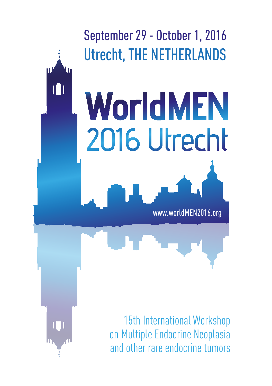